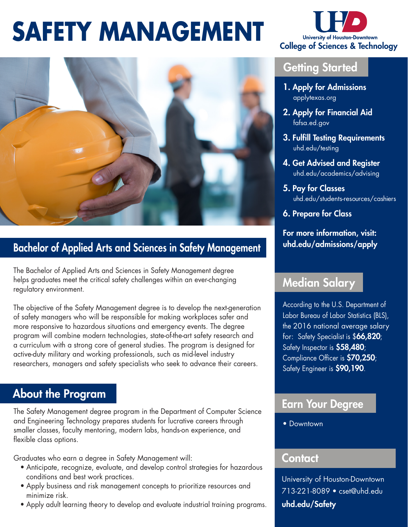## **SAFETY MANAGEMENT**



#### Bachelor of Applied Arts and Sciences in Safety Management

The Bachelor of Applied Arts and Sciences in Safety Management degree helps graduates meet the critical safety challenges within an ever-changing regulatory environment.

The objective of the Safety Management degree is to develop the next-generation of safety managers who will be responsible for making workplaces safer and more responsive to hazardous situations and emergency events. The degree program will combine modern technologies, state-of-the-art safety research and a curriculum with a strong core of general studies. The program is designed for active-duty military and working professionals, such as mid-level industry researchers, managers and safety specialists who seek to advance their careers.

### About the Program About the Program About the Program

The Safety Management degree program in the Department of Computer Science and Engineering Technology prepares students for lucrative careers through smaller classes, faculty mentoring, modern labs, hands-on experience, and flexible class options.

Graduates who earn a degree in Safety Management will:

- Anticipate, recognize, evaluate, and develop control strategies for hazardous conditions and best work practices.
- Apply business and risk management concepts to prioritize resources and minimize risk.
- Apply adult learning theory to develop and evaluate industrial training programs.



#### **Getting Started**

- 1. Apply for Admissions applytexas.org
- 2. Apply for Financial Aid fafsa.ed.gov
- 3. Fulfill Testing Requirements uhd.edu/testing
- 4. Get Advised and Register uhd.edu/academics/advising
- 5. Pay for Classes uhd.edu/students-resources/cashiers
- 6. Prepare for Class

For more information, visit: uhd.edu/admissions/apply

#### Median Salary

According to the U.S. Department of Labor Bureau of Labor Statistics (BLS), the 2016 national average salary for: Safety Specialist is \$66,820; Safety Inspector is \$58,480; Compliance Officer is \$70,250; Safety Engineer is \$90,190.

• Downtown

#### Contact

University of Houston-Downtown 713-221-8089 • cset@uhd.edu uhd.edu/Safety